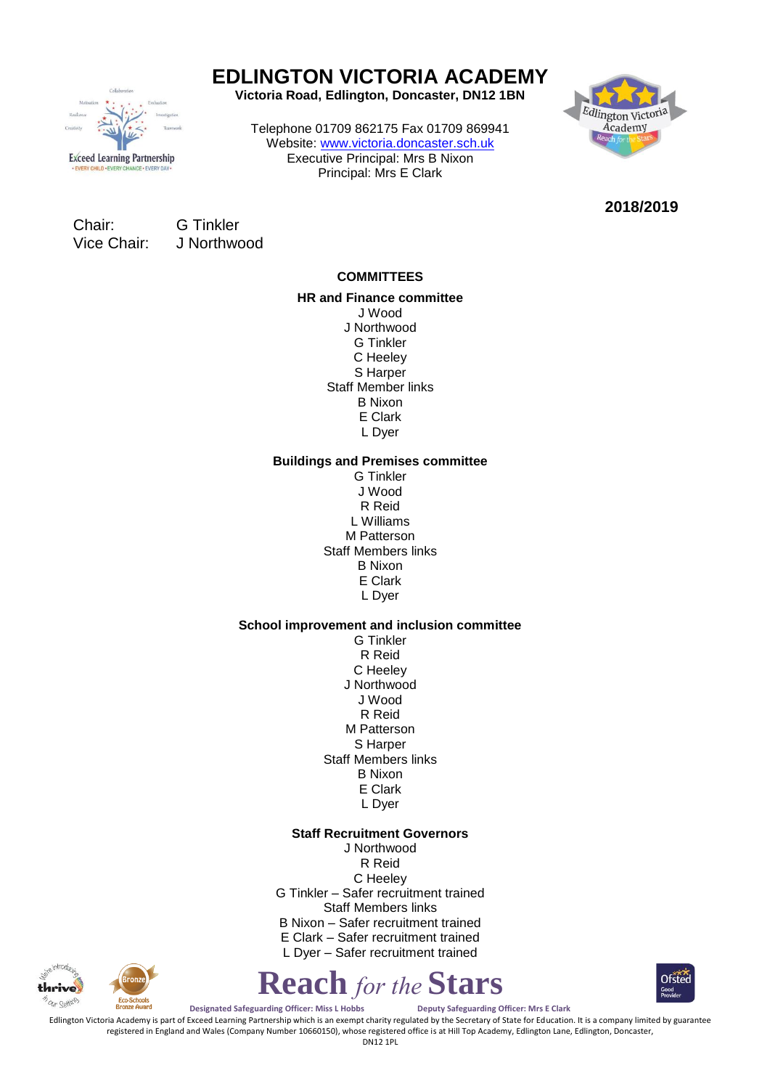

# **EDLINGTON VICTORIA ACADEMY**

**Victoria Road, Edlington, Doncaster, DN12 1BN**

Telephone 01709 862175 Fax 01709 869941 Website: [www.victoria.doncaster.sch.uk](http://www.victoria.doncaster.sch.uk/) Executive Principal: Mrs B Nixon Principal: Mrs E Clark



**2018/2019**

Chair: G Tinkler Vice Chair: J Northwood

## **COMMITTEES**

**HR and Finance committee** J Wood J Northwood G Tinkler C Heeley S Harper Staff Member links B Nixon E Clark L Dyer

### **Buildings and Premises committee**

G Tinkler J Wood R Reid L Williams M Patterson Staff Members links B Nixon E Clark L Dyer

### **School improvement and inclusion committee**

G Tinkler R Reid C Heeley J Northwood J Wood R Reid M Patterson S Harper Staff Members links B Nixon E Clark L Dyer

#### **Staff Recruitment Governors**

J Northwood R Reid C Heeley G Tinkler – Safer recruitment trained Staff Members links B Nixon – Safer recruitment trained E Clark – Safer recruitment trained L Dyer – Safer recruitment trained



**Reach** *for the* **Stars**



**Designated Safeguarding Officer: Miss L Hobbs Deputy Safeguarding Officer: Mrs E Clark**

Edlington Victoria Academy is part of Exceed Learning Partnership which is an exempt charity regulated by the Secretary of State for Education. It is a company limited by guarantee registered in England and Wales (Company Number 10660150), whose registered office is at Hill Top Academy, Edlington Lane, Edlington, Doncaster,